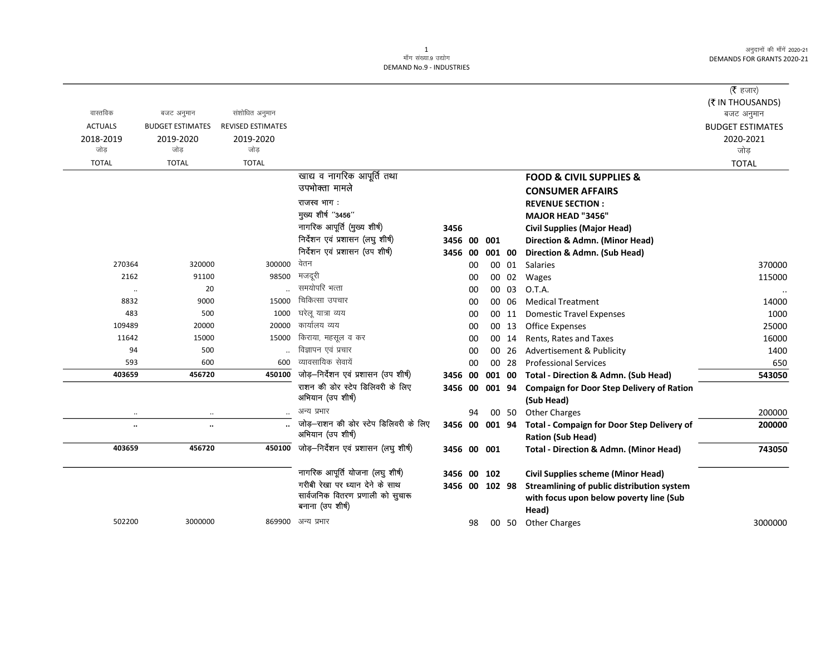$\overline{\phantom{0}}$ 

## 1<br>माँग संख्या.9 उद्योग DEMAND No.9 - INDUSTRIES

|                |                         |                          |                                                            |                |    |        |       |                                                                        | ( $\bar{\tau}$ हजार)    |
|----------------|-------------------------|--------------------------|------------------------------------------------------------|----------------|----|--------|-------|------------------------------------------------------------------------|-------------------------|
|                |                         |                          |                                                            |                |    |        |       |                                                                        | (₹ IN THOUSANDS)        |
| वास्तविक       | बजट अनुमान              | संशोधित अनुमान           |                                                            |                |    |        |       |                                                                        | बजट अनुमान              |
| <b>ACTUALS</b> | <b>BUDGET ESTIMATES</b> | <b>REVISED ESTIMATES</b> |                                                            |                |    |        |       |                                                                        | <b>BUDGET ESTIMATES</b> |
| 2018-2019      | 2019-2020               | 2019-2020                |                                                            |                |    |        |       |                                                                        | 2020-2021               |
| जोड            | जोड                     | जोड                      |                                                            |                |    |        |       |                                                                        | जोड                     |
| <b>TOTAL</b>   | <b>TOTAL</b>            | <b>TOTAL</b>             |                                                            |                |    |        |       |                                                                        | <b>TOTAL</b>            |
|                |                         |                          | खाद्य व नागरिक आपूर्ति तथा                                 |                |    |        |       | <b>FOOD &amp; CIVIL SUPPLIES &amp;</b>                                 |                         |
|                |                         |                          | उपभोक्ता मामले                                             |                |    |        |       | <b>CONSUMER AFFAIRS</b>                                                |                         |
|                |                         |                          | राजस्व भाग:                                                |                |    |        |       | <b>REVENUE SECTION:</b>                                                |                         |
|                |                         |                          | मुख्य शीर्ष "3456"                                         |                |    |        |       | MAJOR HEAD "3456"                                                      |                         |
|                |                         |                          | नागरिक आपूर्ति (मुख्य शीर्ष)                               | 3456           |    |        |       | <b>Civil Supplies (Major Head)</b>                                     |                         |
|                |                         |                          | निर्देशन एवं प्रशासन (लघु शीर्ष)                           | 3456 00        |    | 001    |       | Direction & Admn. (Minor Head)                                         |                         |
|                |                         |                          | निर्देशन एवं प्रशासन (उप शीर्ष)                            | 3456 00        |    | 001 00 |       | Direction & Admn. (Sub Head)                                           |                         |
| 270364         | 320000                  | 300000                   | वेतन                                                       |                | 00 |        | 00 01 | Salaries                                                               | 370000                  |
| 2162           | 91100                   | 98500                    | मजदूरी                                                     |                | 00 |        | 00 02 | Wages                                                                  | 115000                  |
| $\ldots$       | 20                      |                          | समयोपरि भत्ता                                              |                | 00 |        | 00 03 | O.T.A.                                                                 |                         |
| 8832           | 9000                    | 15000                    | चिकित्सा उपचार                                             |                | 00 |        | 00 06 | <b>Medical Treatment</b>                                               | 14000                   |
| 483            | 500                     | 1000                     | घरेलू यात्रा व्यय                                          |                | 00 |        | 00 11 | <b>Domestic Travel Expenses</b>                                        | 1000                    |
| 109489         | 20000                   | 20000                    | कार्यालय व्यय                                              |                | 00 |        | 00 13 | <b>Office Expenses</b>                                                 | 25000                   |
| 11642          | 15000                   | 15000                    | किराया, महसूल व कर                                         |                | 00 |        | 00 14 | Rents, Rates and Taxes                                                 | 16000                   |
| 94             | 500                     |                          | विज्ञापन एवं प्रचार                                        |                | 00 | 00     | -26   | Advertisement & Publicity                                              | 1400                    |
| 593            | 600                     | 600                      | व्यावसायिक सेवायें                                         |                | 00 |        | 00 28 | <b>Professional Services</b>                                           | 650                     |
| 403659         | 456720                  | 450100                   | जोड़-निर्देशन एवं प्रशासन (उप शीर्ष)                       | 3456 00        |    | 001 00 |       | <b>Total - Direction &amp; Admn. (Sub Head)</b>                        | 543050                  |
|                |                         |                          | राशन की डोर स्टेप डिलिवरी के लिए<br>अभियान (उप शीर्ष)      | 3456 00 001 94 |    |        |       | <b>Compaign for Door Step Delivery of Ration</b><br>(Sub Head)         |                         |
| $\ddotsc$      | $\cdot\cdot$            |                          | अन्य प्रभार                                                |                | 94 |        | 00 50 | <b>Other Charges</b>                                                   | 200000                  |
| $\ldots$       | $\ddot{\phantom{a}}$    |                          | जोड़-राशन की डोर स्टेप डिलिवरी के लिए<br>अभियान (उप शीर्ष) | 3456 00 001 94 |    |        |       | Total - Compaign for Door Step Delivery of<br><b>Ration (Sub Head)</b> | 200000                  |
| 403659         | 456720                  | 450100                   | जोड़-निर्देशन एवं प्रशासन (लघु शीर्ष)                      | 3456 00 001    |    |        |       | <b>Total - Direction &amp; Admn. (Minor Head)</b>                      | 743050                  |
|                |                         |                          | नागरिक आपूर्ति योजना (लघु शीर्ष)                           | 3456 00 102    |    |        |       | <b>Civil Supplies scheme (Minor Head)</b>                              |                         |
|                |                         |                          | गरीबी रेखा पर ध्यान देने के साथ                            | 3456 00 102 98 |    |        |       | Streamlining of public distribution system                             |                         |
|                |                         |                          | सार्वजनिक वितरण प्रणाली को सुचारू<br>बनाना (उप शीर्ष)      |                |    |        |       | with focus upon below poverty line (Sub<br>Head)                       |                         |
| 502200         | 3000000                 |                          | 869900 अन्य प्रभार                                         |                | 98 |        |       | 00 50 Other Charges                                                    | 3000000                 |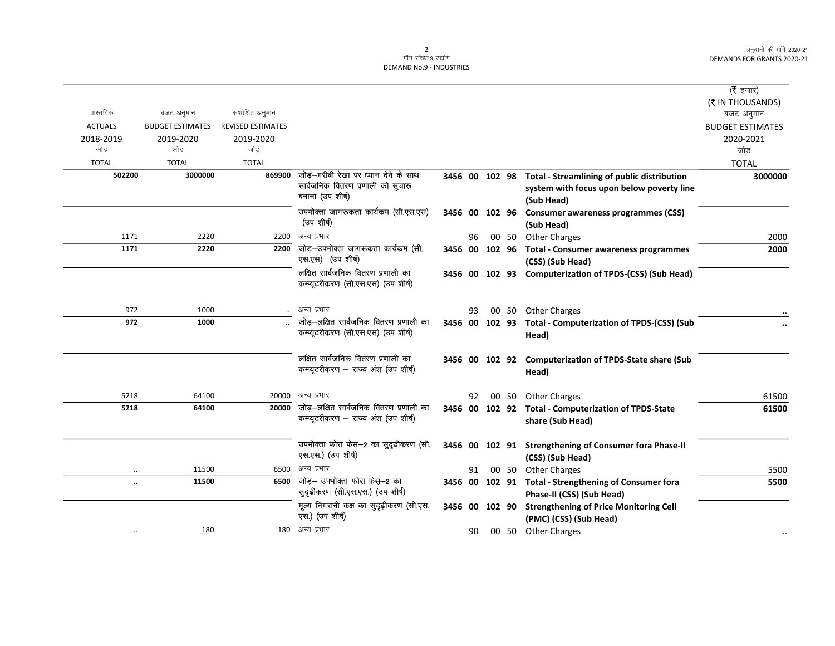$\overline{\phantom{0}}$ 

## 2<br>माँग संख्या.9 उद्योग DEMAND No.9 - INDUSTRIES

|                      |                         |                          |                                                                                  |                |    |  |                                                            | (रै हजार)               |
|----------------------|-------------------------|--------------------------|----------------------------------------------------------------------------------|----------------|----|--|------------------------------------------------------------|-------------------------|
|                      |                         |                          |                                                                                  |                |    |  |                                                            | (₹ IN THOUSANDS)        |
| वास्तविक             | बजट अनुमान              | संशोधित अनुमान           |                                                                                  |                |    |  |                                                            | बजट अनुमान              |
| <b>ACTUALS</b>       | <b>BUDGET ESTIMATES</b> | <b>REVISED ESTIMATES</b> |                                                                                  |                |    |  |                                                            | <b>BUDGET ESTIMATES</b> |
| 2018-2019            | 2019-2020               | 2019-2020                |                                                                                  |                |    |  |                                                            | 2020-2021               |
| जोड                  | जोड                     | जोड                      |                                                                                  |                |    |  |                                                            | जोड                     |
| <b>TOTAL</b>         | <b>TOTAL</b>            | <b>TOTAL</b>             |                                                                                  |                |    |  |                                                            | <b>TOTAL</b>            |
| 502200               | 3000000                 |                          | 869900 जोड़-गरीबी रेखा पर ध्यान देने के साथ<br>सार्वजनिक वितरण प्रणाली को सुचारू |                |    |  | 3456 00 102 98 Total - Streamlining of public distribution | 3000000                 |
|                      |                         |                          | बनाना (उप शीर्ष)                                                                 |                |    |  | system with focus upon below poverty line                  |                         |
|                      |                         |                          |                                                                                  |                |    |  | (Sub Head)                                                 |                         |
|                      |                         |                          | उपभोक्ता जागरूकता कार्यकम (सी.एस.एस)<br>(उप शीर्ष)                               | 3456 00 102 96 |    |  | <b>Consumer awareness programmes (CSS)</b>                 |                         |
|                      |                         |                          |                                                                                  |                |    |  | (Sub Head)                                                 |                         |
| 1171                 | 2220                    | 2200                     | अन्य प्रभार                                                                      |                | 96 |  | 00 50 Other Charges                                        | 2000                    |
| 1171                 | 2220                    | 2200                     | जोड़–उपभोक्ता जागरूकता कार्यकम (सी.<br>एस.एस) (उप शीर्ष)                         | 3456 00 102 96 |    |  | <b>Total - Consumer awareness programmes</b>               | 2000                    |
|                      |                         |                          | लक्षित सार्वजनिक वितरण प्रणाली का                                                |                |    |  | (CSS) (Sub Head)                                           |                         |
|                      |                         |                          | कम्प्यूटरीकरण (सी.एस.एस) (उप शीर्ष)                                              |                |    |  | 3456 00 102 93 Computerization of TPDS-(CSS) (Sub Head)    |                         |
|                      |                         |                          |                                                                                  |                |    |  |                                                            |                         |
| 972                  | 1000                    |                          | अन्य प्रभार                                                                      |                | 93 |  | 00 50 Other Charges                                        |                         |
| 972                  | 1000                    |                          | जोड़-लक्षित सार्वजनिक वितरण प्रणाली का                                           | 3456 00 102 93 |    |  | <b>Total - Computerization of TPDS-(CSS) (Sub</b>          |                         |
|                      |                         |                          | कम्प्यूटरीकरण (सी.एस.एस) (उप शीर्ष)                                              |                |    |  | Head)                                                      |                         |
|                      |                         |                          |                                                                                  |                |    |  |                                                            |                         |
|                      |                         |                          | लक्षित सार्वजनिक वितरण प्रणाली का                                                |                |    |  | 3456 00 102 92 Computerization of TPDS-State share (Sub    |                         |
|                      |                         |                          | कम्प्यूटरीकरण - राज्य अंश (उप शीर्ष)                                             |                |    |  | Head)                                                      |                         |
| 5218                 | 64100                   | 20000                    | अन्य प्रभार                                                                      |                | 92 |  | 00 50 Other Charges                                        | 61500                   |
| 5218                 | 64100                   | 20000                    | जोड़–लक्षित सार्वजनिक वितरण प्रणाली का                                           | 3456 00 102 92 |    |  | <b>Total - Computerization of TPDS-State</b>               | 61500                   |
|                      |                         |                          | कम्प्यूटरीकरण – राज्य अंश (उप शीर्ष)                                             |                |    |  | share (Sub Head)                                           |                         |
|                      |                         |                          |                                                                                  |                |    |  |                                                            |                         |
|                      |                         |                          | उपभोक्ता फोरा फेस-2 का सुदृढीकरण (सी.                                            | 3456 00 102 91 |    |  | <b>Strengthening of Consumer fora Phase-II</b>             |                         |
|                      |                         |                          | एस.एस.) (उप शीर्ष)                                                               |                |    |  | (CSS) (Sub Head)                                           |                         |
|                      | 11500                   | 6500                     | अन्य प्रभार                                                                      |                | 91 |  | 00 50 Other Charges                                        | 5500                    |
| $\ddot{\phantom{a}}$ | 11500                   | 6500                     | जोड़- उपभोक्ता फोरा फेस़-2 का                                                    | 3456 00 102 91 |    |  | <b>Total - Strengthening of Consumer fora</b>              | 5500                    |
|                      |                         |                          | सुदृढीकरण (सी.एस.एस.) (उप शीर्ष)                                                 |                |    |  | Phase-II (CSS) (Sub Head)                                  |                         |
|                      |                         |                          | मूल्य निगरानी कक्ष का सुदृढ़ीकरण (सी.एस.                                         | 3456 00 102 90 |    |  | <b>Strengthening of Price Monitoring Cell</b>              |                         |
|                      |                         |                          | एस.) (उप शीर्ष)                                                                  |                |    |  | (PMC) (CSS) (Sub Head)                                     |                         |
|                      | 180                     |                          | 180 अन्य प्रभार                                                                  |                | 90 |  | 00 50 Other Charges                                        |                         |
|                      |                         |                          |                                                                                  |                |    |  |                                                            |                         |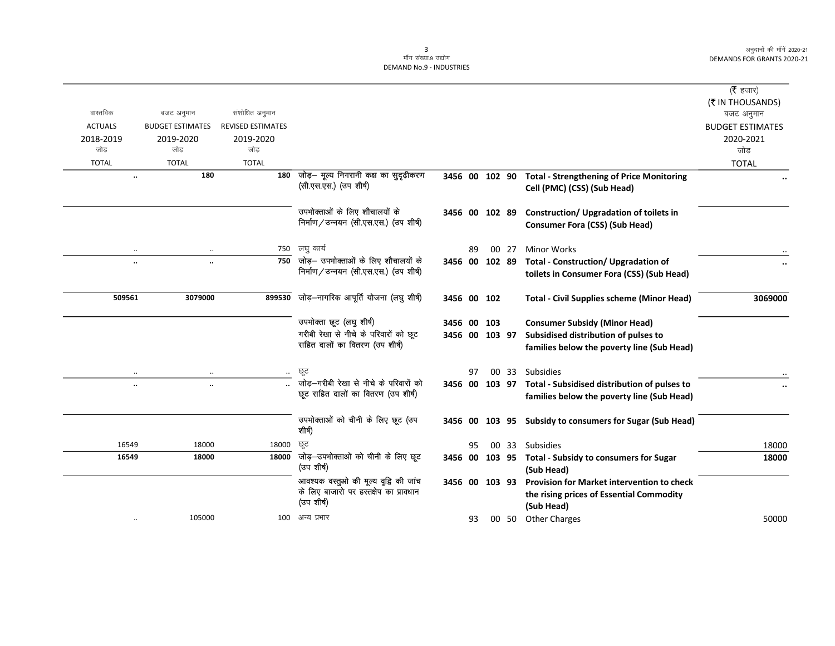$\overline{\phantom{0}}$ 

|                |                         |                          |                                                                        |                |    |       |                                                                                         | ( <b>रै</b> हजार)       |
|----------------|-------------------------|--------------------------|------------------------------------------------------------------------|----------------|----|-------|-----------------------------------------------------------------------------------------|-------------------------|
|                |                         |                          |                                                                        |                |    |       |                                                                                         | (₹ IN THOUSANDS)        |
| वास्तविक       | बजट अनुमान              | संशोधित अनुमान           |                                                                        |                |    |       |                                                                                         | बजट अनुमान              |
| <b>ACTUALS</b> | <b>BUDGET ESTIMATES</b> | <b>REVISED ESTIMATES</b> |                                                                        |                |    |       |                                                                                         | <b>BUDGET ESTIMATES</b> |
| 2018-2019      | 2019-2020               | 2019-2020                |                                                                        |                |    |       |                                                                                         | 2020-2021               |
| जोड            | जोड                     | जोड                      |                                                                        |                |    |       |                                                                                         | जोड                     |
| <b>TOTAL</b>   | <b>TOTAL</b>            | <b>TOTAL</b>             |                                                                        |                |    |       |                                                                                         | <b>TOTAL</b>            |
|                | 180                     | 180                      | जोड़- मूल्य निगरानी कक्ष का सुदृढ़ीकरण<br>(सी.एस.एस.) (उप शीर्ष)       |                |    |       | 3456 00 102 90 Total - Strengthening of Price Monitoring<br>Cell (PMC) (CSS) (Sub Head) |                         |
|                |                         |                          | उपभोक्ताओं के लिए शौचालयों के<br>निर्माण/उन्नयन (सी.एस.एस.) (उप शीर्ष) | 3456 00 102 89 |    |       | Construction/Upgradation of toilets in                                                  |                         |
|                |                         |                          |                                                                        |                |    |       | <b>Consumer Fora (CSS) (Sub Head)</b>                                                   |                         |
| $\ldots$       | $\cdot$ .               | 750                      | लघु कार्य                                                              |                | 89 | 00 27 | <b>Minor Works</b>                                                                      |                         |
| $\ddotsc$      | $\ddotsc$               | 750                      | जोड़— उपभोक्ताओं के लिए शौचालयों के                                    | 3456 00 102 89 |    |       | <b>Total - Construction/ Upgradation of</b>                                             | $\cdots$                |
|                |                         |                          | निर्माण/उन्नयन (सी.एस.एस.) (उप शीर्ष)                                  |                |    |       | toilets in Consumer Fora (CSS) (Sub Head)                                               |                         |
| 509561         | 3079000                 | 899530                   | जोड़–नागरिक आपूर्ति योजना (लघु शीर्ष)                                  | 3456 00 102    |    |       | <b>Total - Civil Supplies scheme (Minor Head)</b>                                       | 3069000                 |
|                |                         |                          | उपभोक्ता छूट (लघु शीर्ष)                                               | 3456 00 103    |    |       | <b>Consumer Subsidy (Minor Head)</b>                                                    |                         |
|                |                         |                          | गरीबी रेखा से नीचे के परिवारों को छूट                                  | 3456 00 103 97 |    |       | Subsidised distribution of pulses to                                                    |                         |
|                |                         |                          | सहित दालों का वितरण (उप शीर्ष)                                         |                |    |       | families below the poverty line (Sub Head)                                              |                         |
|                | $\cdot$ .               | $\ldots$                 | ਲ੍ਰਟ                                                                   |                | 97 |       | 00 33 Subsidies                                                                         |                         |
|                | $\ddotsc$               |                          | जोड़—गरीबी रेखा से नीचे के परिवारों को                                 |                |    |       | 3456 00 103 97 Total - Subsidised distribution of pulses to                             |                         |
|                |                         |                          | छूट सहित दालों का वितरण (उप शीर्ष)                                     |                |    |       | families below the poverty line (Sub Head)                                              |                         |
|                |                         |                          | उपभोक्ताओं को चीनी के लिए छूट (उप<br>शीर्ष)                            |                |    |       | 3456 00 103 95 Subsidy to consumers for Sugar (Sub Head)                                |                         |
| 16549          | 18000                   | 18000                    | छट                                                                     |                | 95 |       | 00 33 Subsidies                                                                         | 18000                   |
| 16549          | 18000                   | 18000                    | जोड़—उपभोक्ताओं को चीनी के लिए छूट<br>(उप शीर्ष)                       | 3456 00 103 95 |    |       | <b>Total - Subsidy to consumers for Sugar</b><br>(Sub Head)                             | 18000                   |
|                |                         |                          | आवश्यक वस्तुओ की मूल्य वृद्वि की जांच                                  | 3456 00 103 93 |    |       | <b>Provision for Market intervention to check</b>                                       |                         |
|                |                         |                          | के लिए बाजारो पर हस्तक्षेप का प्रावधान<br>(उपशीर्ष)                    |                |    |       | the rising prices of Essential Commodity<br>(Sub Head)                                  |                         |
|                | 105000                  |                          | 100 अन्य प्रभार                                                        |                | 93 |       | 00 50 Other Charges                                                                     | 50000                   |
|                |                         |                          |                                                                        |                |    |       |                                                                                         |                         |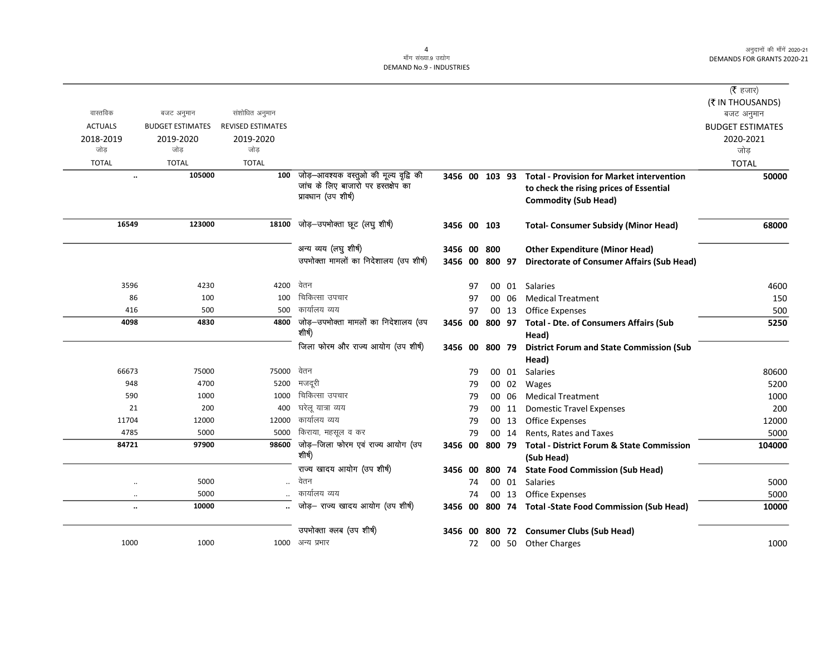$\overline{\phantom{0}}$ 

|                      |                         |                          |                                        |                |    |                |       |                                                        | ( $\bar{\tau}$ हजार)    |
|----------------------|-------------------------|--------------------------|----------------------------------------|----------------|----|----------------|-------|--------------------------------------------------------|-------------------------|
|                      |                         |                          |                                        |                |    |                |       |                                                        | (₹ IN THOUSANDS)        |
| वास्तविक             | बजट अनुमान              | संशोधित अनुमान           |                                        |                |    |                |       |                                                        | बजट अनुमान              |
| <b>ACTUALS</b>       | <b>BUDGET ESTIMATES</b> | <b>REVISED ESTIMATES</b> |                                        |                |    |                |       |                                                        | <b>BUDGET ESTIMATES</b> |
| 2018-2019            | 2019-2020               | 2019-2020                |                                        |                |    |                |       |                                                        | 2020-2021               |
| जोड                  | जोड                     | जोड                      |                                        |                |    |                |       |                                                        | जोड़                    |
| <b>TOTAL</b>         | <b>TOTAL</b>            | <b>TOTAL</b>             |                                        |                |    |                |       |                                                        | <b>TOTAL</b>            |
| $\ddot{\phantom{0}}$ | 105000                  | 100                      | जोड़—आवश्यक वस्तुओ की मूल्य वृद्वि की  | 3456 00 103 93 |    |                |       | <b>Total - Provision for Market intervention</b>       | 50000                   |
|                      |                         |                          | जांच के लिए बाजारो पर हस्तक्षेप का     |                |    |                |       | to check the rising prices of Essential                |                         |
|                      |                         |                          | प्रावधान (उप शीर्ष)                    |                |    |                |       | <b>Commodity (Sub Head)</b>                            |                         |
| 16549                | 123000                  | 18100                    | जोड़-उपभोक्ता छूट (लघु शीर्ष)          | 3456 00 103    |    |                |       | <b>Total- Consumer Subsidy (Minor Head)</b>            | 68000                   |
|                      |                         |                          |                                        |                |    |                |       |                                                        |                         |
|                      |                         |                          | अन्य व्यय (लघु शीर्ष)                  | 3456 00 800    |    |                |       | <b>Other Expenditure (Minor Head)</b>                  |                         |
|                      |                         |                          | उपभोक्ता मामलों का निदेशालय (उप शीर्ष) |                |    | 3456 00 800 97 |       | <b>Directorate of Consumer Affairs (Sub Head)</b>      |                         |
| 3596                 | 4230                    | 4200                     | वेतन                                   |                | 97 |                |       | 00 01 Salaries                                         | 4600                    |
| 86                   | 100                     | 100                      | चिकित्सा उपचार                         |                | 97 |                | 00 06 | <b>Medical Treatment</b>                               | 150                     |
| 416                  | 500                     | 500                      | कार्यालय व्यय                          |                | 97 |                | 00 13 | <b>Office Expenses</b>                                 | 500                     |
| 4098                 | 4830                    | 4800                     | जोड़—उपभोक्ता मामलों का निदेशालय (उप   |                |    |                |       | 3456 00 800 97 Total - Dte. of Consumers Affairs (Sub  | 5250                    |
|                      |                         |                          | शीर्ष)                                 |                |    |                |       | Head)                                                  |                         |
|                      |                         |                          | जिला फोरम और राज्य आयोग (उप शीर्ष)     | 3456 00 800 79 |    |                |       | <b>District Forum and State Commission (Sub</b>        |                         |
|                      |                         |                          |                                        |                |    |                |       | Head)                                                  |                         |
| 66673                | 75000                   | 75000                    | वेतन                                   |                | 79 |                | 00 01 | <b>Salaries</b>                                        | 80600                   |
| 948                  | 4700                    | 5200                     | मजदूरी                                 |                | 79 |                | 00 02 | Wages                                                  | 5200                    |
| 590                  | 1000                    | 1000                     | चिकित्सा उपचार                         |                | 79 |                | 00 06 | <b>Medical Treatment</b>                               | 1000                    |
| 21                   | 200                     | 400                      | घरेलू यात्रा व्यय                      |                | 79 |                | 00 11 | <b>Domestic Travel Expenses</b>                        | 200                     |
| 11704                | 12000                   | 12000                    | कार्यालय व्यय                          |                | 79 |                | 00 13 | <b>Office Expenses</b>                                 | 12000                   |
| 4785                 | 5000                    | 5000                     | किराया, महसूल व कर                     |                | 79 |                | 00 14 | Rents, Rates and Taxes                                 | 5000                    |
| 84721                | 97900                   | 98600                    | जोड़-जिला फोरम एवं राज्य आयोग (उप      |                |    | 3456 00 800 79 |       | <b>Total - District Forum &amp; State Commission</b>   | 104000                  |
|                      |                         |                          | शीर्ष)                                 |                |    |                |       | (Sub Head)                                             |                         |
|                      |                         |                          | राज्य खादय आयोग (उप शीर्ष)             | 3456 00        |    | 800 74         |       | <b>State Food Commission (Sub Head)</b>                |                         |
| $\ldots$             | 5000                    | $\ddotsc$                | वेतन                                   |                | 74 |                | 00 01 | Salaries                                               | 5000                    |
| $\ldots$             | 5000                    |                          | कार्यालय व्यय                          |                | 74 |                | 00 13 | <b>Office Expenses</b>                                 | 5000                    |
| $\ddot{\phantom{0}}$ | 10000                   |                          | जोड़- राज्य खादय आयोग (उप शीर्ष)       |                |    |                |       | 3456 00 800 74 Total -State Food Commission (Sub Head) | 10000                   |
|                      |                         |                          | उपभोक्ता क्लब (उप शीर्ष)               |                |    |                |       | 3456 00 800 72 Consumer Clubs (Sub Head)               |                         |
| 1000                 | 1000                    | 1000                     | अन्य प्रभार                            |                | 72 |                |       | 00 50 Other Charges                                    | 1000                    |
|                      |                         |                          |                                        |                |    |                |       |                                                        |                         |